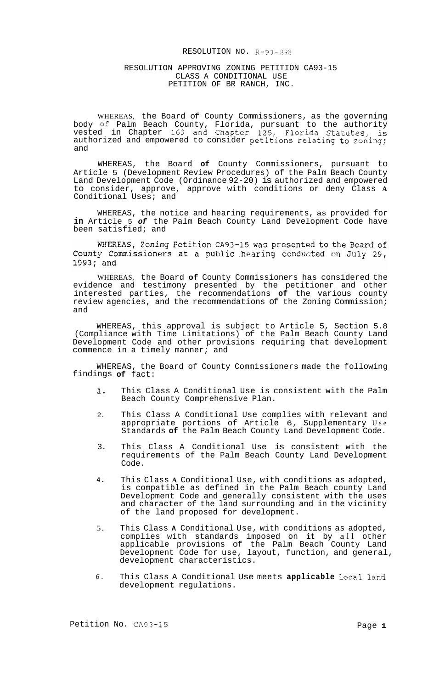## RESOLUTION NO. R-93-898

### RESOLUTION APPROVING ZONING PETITION CA93-15 CLASS A CONDITIONAL USE PETITION OF BR RANCH, INC.

WHEREAS, the Board of County Commissioners, as the governing body **of** Palm Beach County, Florida, pursuant to the authority vested in Chapter 163 and Chapter 125, Florida Statutes, is authorized and empowered to consider petitions relating to zoning; and

WHEREAS, the Board **of** County Commissioners, pursuant to Article 5 (Development Review Procedures) of the Palm Beach County Land Development Code (Ordinance 92-20) is authorized and empowered to consider, approve, approve with conditions or deny Class **A**  Conditional Uses; and

WHEREAS, the notice and hearing requirements, as provided for **in** Article 5 *of* the Palm Beach County Land Development Code have been satisfied; and

WHEREAS, Zoning Petition CA93-15 was presented to the Board of County Commissioners at a public hearing conducted on July 29, 1993; and

WHEREAS, the Board **of** County Commissioners has considered the evidence and testimony presented by the petitioner and other interested parties, the recommendations **of** the various county review agencies, and the recommendations of the Zoning Commission; and

WHEREAS, this approval is subject to Article 5, Section 5.8 (Compliance with Time Limitations) of the Palm Beach County Land Development Code and other provisions requiring that development commence in a timely manner; and

WHEREAS, the Board of County Commissioners made the following findings **of** fact:

- **1.**  This Class A Conditional Use is consistent with the Palm Beach County Comprehensive Plan.
- 2. This Class A Conditional Use complies with relevant and appropriate portions of Article 6, Supplementary Use Standards **of** the Palm Beach County Land Development Code.
- 3. This Class A Conditional Use is consistent with the requirements of the Palm Beach County Land Development Code.
- **4.**  This Class **A** Conditional Use, with conditions as adopted, is compatible as defined in the Palm Beach county Land Development Code and generally consistent with the uses and character of the land surrounding and in the vicinity of the land proposed for development.
- 5. This Class **A** Conditional Use, with conditions as adopted, complies with standards imposed on **it** by all other applicable provisions of the Palm Beach County Land Development Code for use, layout, function, and general, development characteristics.
- *6.*  This Class A Conditional Use meets **applicable** local land development regulations.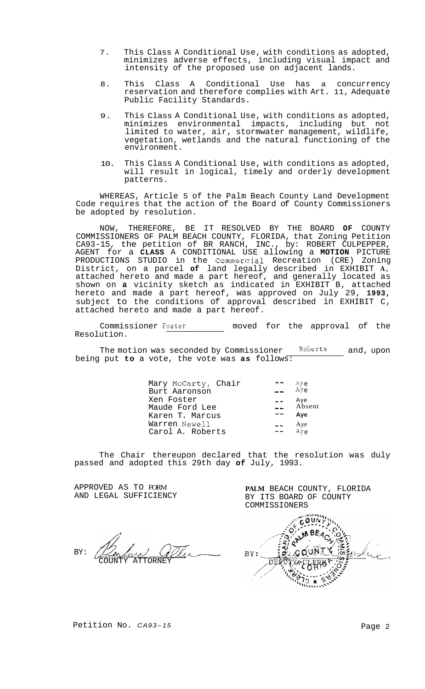- 7. This Class A Conditional Use, with conditions as adopted, minimizes adverse effects, including visual impact and intensity of the proposed use on adjacent lands.
- 8. This Class A Conditional Use has a concurrency reservation and therefore complies with Art. 11, Adequate Public Facility Standards.
- 9. This Class A Conditional Use, with conditions as adopted, minimizes environmental impacts, including but not limited to water, air, stormwater management, wildlife, vegetation, wetlands and the natural functioning of the environment.
- 10. This Class A Conditional Use, with conditions as adopted, will result in logical, timely and orderly development patterns.

WHEREAS, Article 5 of the Palm Beach County Land -Development Code requires that the action of the Board of County Commissioners be adopted by resolution.

NOW, THEREFORE, BE IT RESOLVED BY THE BOARD **OF** COUNTY COMMISSIONERS OF PALM BEACH COUNTY, FLORIDA, that Zoning Petition CA93-15, the petition of BR RANCH, INC., by: ROBERT CULPEPPER, AGENT for a **CLASS** A CONDITIONAL USE allowing a **MOTION** PICTURE PRODUCTIONS STUDIO in the Commercial Recreation (CRE) Zoning District, on a parcel **of** land legally described in EXHIBIT **A,**  attached hereto and made a part hereof, and generally located as shown on **a** vicinity sketch as indicated in EXHIBIT B, attached hereto and made a part hereof, was approved on July 29, **1993,**  subject to the conditions of approval described in EXHIBIT C, attached hereto and made a part hereof.

Commissioner Foster moved for the approval of the Resolution.

The motion was seconded by Commissioner Roberts and, upon being put **to** a vote, the vote was **as** follows:

| Mary McCarty, Chair<br>Burt Aaronson            | Aye<br>Aye           |
|-------------------------------------------------|----------------------|
| Xen Foster<br>Maude Ford Lee<br>Karen T. Marcus | Aye<br>Absent<br>Aye |
| Warren Newell<br>Carol A. Roberts               | Aye<br>A∨ه           |

The Chair thereupon declared that the resolution was duly passed and adopted this 29th day **of** July, 1993.

APPROVED AS TO FORM AND LEGAL SUFFICIENCY

BY: *Dulin avec* 

BY ITS BOARD OF COUNTY COMMISSIONERS 8E.  $BY:$ DEP

**PALM** BEACH COUNTY, FLORIDA

Petition No. CA93-15<br>Page 2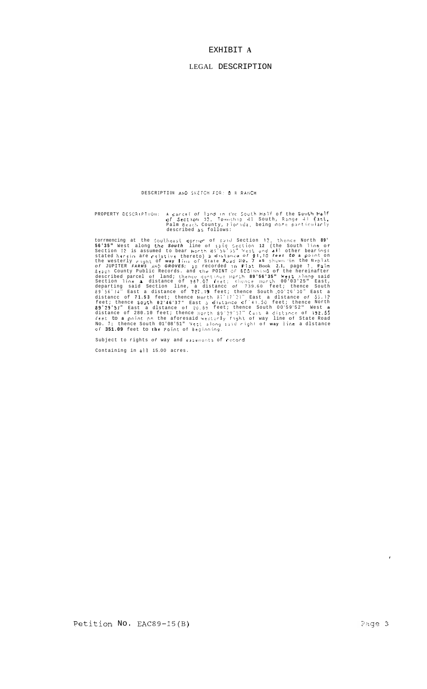#### EXHIBIT A

#### LEGAL DESCRIPTION

DESCRIPTION AND SKETCH FOR: B R RANCH

PROPERTY DESCRIPTION: A parcel of land in the South Half of the South Half<br>of Section 12, Township 41 South, Range 41 East,<br>Palm Beach County, Florida, being more particularly<br>described as follows:

described as iditions:<br>
56.35" West along the Southeast criter of said Section 12, thence North 89.<br>
56.35" West along the South line of said Section 12 (the South line of<br>
Section 12 is assumed to bear North 89.36" West a

Subject to rights of way and easements of record

Containing in all 15.00 acres.

 $\overline{1}$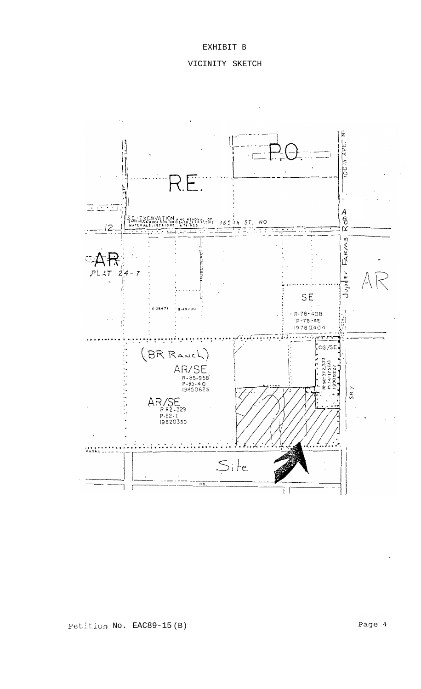## EXHIBIT B

# VICINITY SKETCH



Petition No. EAC89-15(B)

Page 4